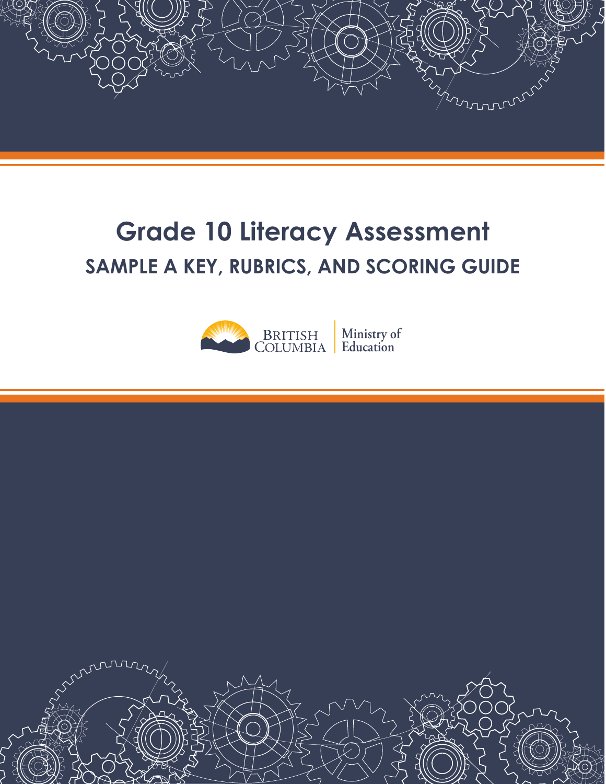

# **Grade 10 Literacy Assessment SAMPLE A KEY, RUBRICS, AND SCORING GUIDE**



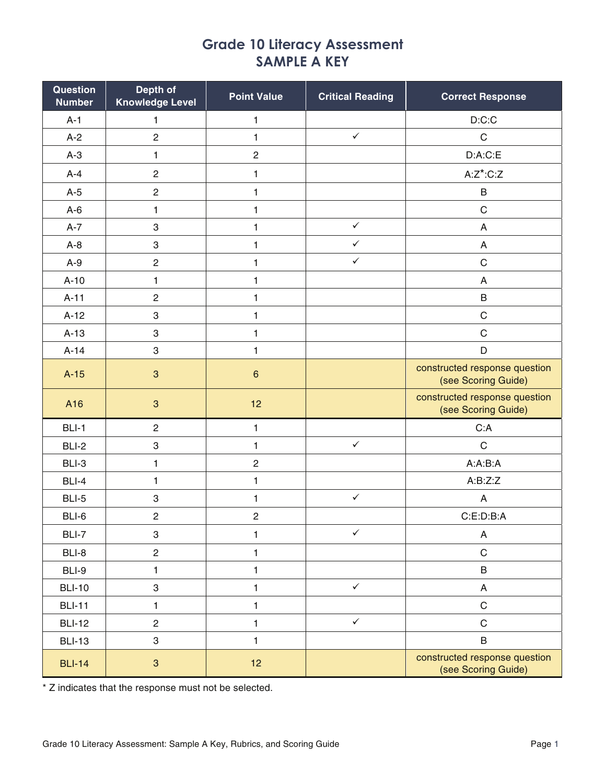# **Grade 10 Literacy Assessment SAMPLE A KEY**

| Question<br><b>Number</b> | Depth of<br><b>Knowledge Level</b> | <b>Point Value</b>      | <b>Critical Reading</b> | <b>Correct Response</b>                              |
|---------------------------|------------------------------------|-------------------------|-------------------------|------------------------------------------------------|
| $A-1$                     | 1                                  | $\mathbf{1}$            |                         | D: C: C                                              |
| $A-2$                     | $\overline{c}$                     | $\mathbf{1}$            | $\checkmark$            | $\mathsf C$                                          |
| $A-3$                     | 1                                  | $\overline{c}$          |                         | D:A:C:E                                              |
| $A-4$                     | $\sqrt{2}$                         | 1                       |                         | $A:Z^*$ :C:Z                                         |
| $A-5$                     | $\sqrt{2}$                         | $\mathbf{1}$            |                         | B                                                    |
| $A-6$                     | $\mathbf{1}$                       | $\mathbf{1}$            |                         | $\mathsf C$                                          |
| $A-7$                     | $\ensuremath{\mathsf{3}}$          | $\mathbf{1}$            | $\checkmark$            | A                                                    |
| $A-8$                     | $\ensuremath{\mathsf{3}}$          | 1                       | $\checkmark$            | A                                                    |
| $A-9$                     | $\sqrt{2}$                         | $\mathbf{1}$            | $\checkmark$            | $\mathsf C$                                          |
| $A-10$                    | $\mathbf{1}$                       | $\mathbf{1}$            |                         | A                                                    |
| $A-11$                    | $\sqrt{2}$                         | $\mathbf{1}$            |                         | B                                                    |
| $A-12$                    | 3                                  | $\mathbf{1}$            |                         | $\mathsf C$                                          |
| $A-13$                    | $\,$ 3 $\,$                        | $\mathbf{1}$            |                         | $\mathsf C$                                          |
| $A-14$                    | 3                                  | $\mathbf{1}$            |                         | D                                                    |
| $A-15$                    | $\mathbf{3}$                       | $\,$ 6 $\,$             |                         | constructed response question<br>(see Scoring Guide) |
| A16                       | $\mathbf{3}$                       | 12                      |                         | constructed response question<br>(see Scoring Guide) |
| BLI-1                     | $\overline{c}$                     | $\mathbf{1}$            |                         | C:A                                                  |
| BLI-2                     | $\ensuremath{\mathsf{3}}$          | 1                       | $\checkmark$            | $\mathsf{C}$                                         |
| BLI-3                     | 1                                  | $\overline{\mathbf{c}}$ |                         | A:A:B:A                                              |
| BLI-4                     | $\mathbf{1}$                       | $\mathbf{1}$            |                         | A:B:Z:Z                                              |
| BLI-5                     | $\,3$                              | 1                       | $\checkmark$            | A                                                    |
| BLI-6                     | $\sqrt{2}$                         | $\overline{c}$          |                         | C:E:D:B:A                                            |
| BLI-7                     | $\ensuremath{\mathsf{3}}$          | 1                       | $\checkmark$            | A                                                    |
| BLI-8                     | $\sqrt{2}$                         | $\mathbf{1}$            |                         | $\mathbf C$                                          |
| BLI-9                     | $\mathbf{1}$                       | $\mathbf{1}$            |                         | B                                                    |
| <b>BLI-10</b>             | $\,3$                              | $\mathbf{1}$            | $\checkmark$            | A                                                    |
| <b>BLI-11</b>             | $\mathbf{1}$                       | $\mathbf{1}$            |                         | $\mathsf C$                                          |
| <b>BLI-12</b>             | $\overline{c}$                     | $\mathbf{1}$            | $\checkmark$            | $\mathbf C$                                          |
| <b>BLI-13</b>             | 3                                  | $\mathbf{1}$            |                         | B                                                    |
| <b>BLI-14</b>             | $\mathbf{3}$                       | 12                      |                         | constructed response question<br>(see Scoring Guide) |

\* Z indicates that the response must not be selected.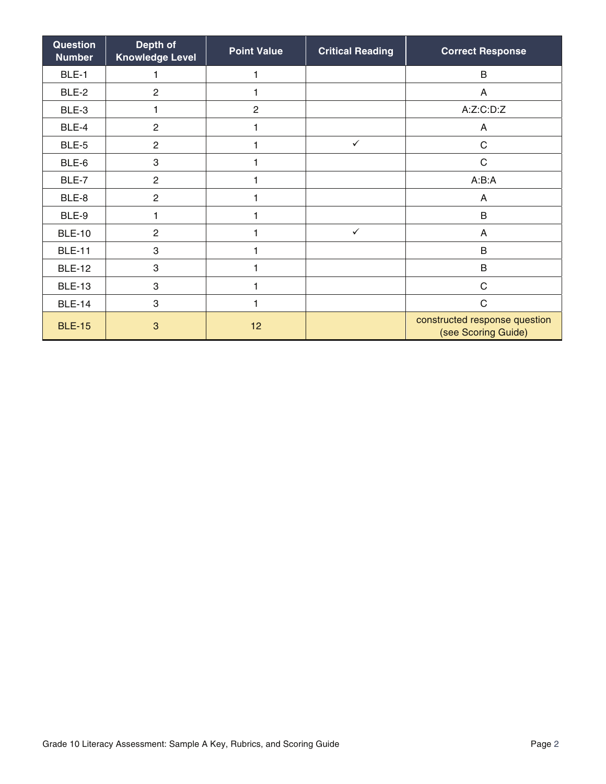| Question<br><b>Number</b> | Depth of<br><b>Knowledge Level</b> | <b>Point Value</b> | <b>Critical Reading</b> | <b>Correct Response</b>                              |
|---------------------------|------------------------------------|--------------------|-------------------------|------------------------------------------------------|
| BLE-1                     | 1                                  |                    |                         | B                                                    |
| BLE-2                     | $\overline{2}$                     |                    |                         | A                                                    |
| BLE-3                     | 1                                  | $\overline{2}$     |                         | A:Z:C:D:Z                                            |
| BLE-4                     | $\overline{c}$                     | 1                  |                         | A                                                    |
| BLE-5                     | $\overline{2}$                     |                    | $\checkmark$            | C                                                    |
| BLE-6                     | 3                                  |                    |                         | $\mathsf C$                                          |
| BLE-7                     | $\overline{c}$                     |                    |                         | A:B:A                                                |
| BLE-8                     | $\overline{2}$                     |                    |                         | A                                                    |
| BLE-9                     | 1                                  |                    |                         | B                                                    |
| <b>BLE-10</b>             | $\overline{2}$                     |                    | $\checkmark$            | A                                                    |
| <b>BLE-11</b>             | 3                                  |                    |                         | B                                                    |
| <b>BLE-12</b>             | 3                                  |                    |                         | B                                                    |
| <b>BLE-13</b>             | 3                                  |                    |                         | $\mathsf C$                                          |
| <b>BLE-14</b>             | 3                                  |                    |                         | $\mathsf C$                                          |
| <b>BLE-15</b>             | 3                                  | 12                 |                         | constructed response question<br>(see Scoring Guide) |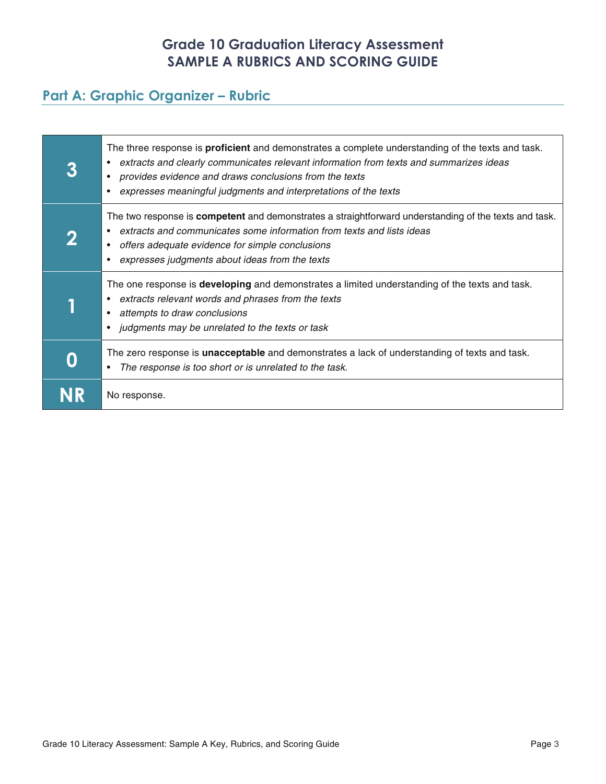# **Grade 10 Graduation Literacy Assessment SAMPLE A RUBRICS AND SCORING GUIDE**

# **Part A: Graphic Organizer – Rubric**

| The three response is <b>proficient</b> and demonstrates a complete understanding of the texts and task.<br>extracts and clearly communicates relevant information from texts and summarizes ideas<br>٠<br>provides evidence and draws conclusions from the texts<br>٠<br>expresses meaningful judgments and interpretations of the texts |
|-------------------------------------------------------------------------------------------------------------------------------------------------------------------------------------------------------------------------------------------------------------------------------------------------------------------------------------------|
| The two response is <b>competent</b> and demonstrates a straightforward understanding of the texts and task.<br>extracts and communicates some information from texts and lists ideas<br>offers adequate evidence for simple conclusions<br>$\bullet$<br>expresses judgments about ideas from the texts<br>$\bullet$                      |
| The one response is <b>developing</b> and demonstrates a limited understanding of the texts and task.<br>extracts relevant words and phrases from the texts<br>٠<br>attempts to draw conclusions<br>٠<br>judgments may be unrelated to the texts or task<br>٠                                                                             |
| The zero response is <b>unacceptable</b> and demonstrates a lack of understanding of texts and task.<br>The response is too short or is unrelated to the task.<br>٠                                                                                                                                                                       |
| No response.                                                                                                                                                                                                                                                                                                                              |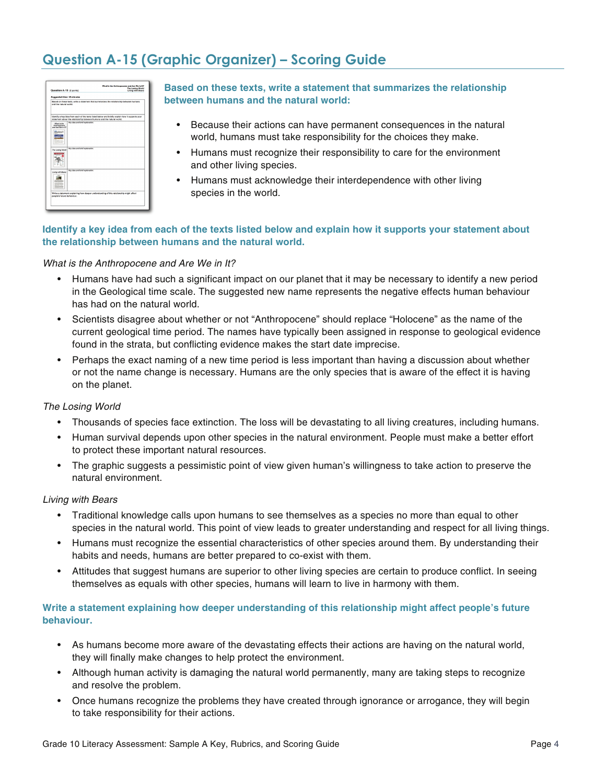# **Question A-15 (Graphic Organizer) – Scoring Guide**

| Question A-15 (6 points)                        |                                                                        | What is the Anthropopene and Are We in It?<br>The Lesing World<br><b>Living with Bears</b>      |
|-------------------------------------------------|------------------------------------------------------------------------|-------------------------------------------------------------------------------------------------|
| Supposted filme: 10 minutes                     |                                                                        |                                                                                                 |
| and the natural world.                          |                                                                        | Based on these texts, write a statement that summarizes the relationship between humans         |
|                                                 | statement about the relationship between humans and the natural world. | Mentify a key idea from each of the texts listed below and briefly explain how it supports your |
| What is the<br>Anthropocene<br>and Are We in 27 | Key idea and brief explanation:                                        |                                                                                                 |
|                                                 |                                                                        |                                                                                                 |
| The Leaing World                                | Key idea and brief exclanation:                                        |                                                                                                 |
|                                                 |                                                                        |                                                                                                 |
| <b>Living with Bears</b>                        | Key idea and brief explanation:                                        |                                                                                                 |
|                                                 |                                                                        |                                                                                                 |
| people's future behaviour.                      |                                                                        | Write a statement explaining how deeper understanding of this relationship might affect         |
|                                                 |                                                                        |                                                                                                 |

**Based on these texts, write a statement that summarizes the relationship between humans and the natural world:**

- Because their actions can have permanent consequences in the natural world, humans must take responsibility for the choices they make.
- Humans must recognize their responsibility to care for the environment and other living species.
- Humans must acknowledge their interdependence with other living species in the world.

## **Identify a key idea from each of the texts listed below and explain how it supports your statement about the relationship between humans and the natural world.**

### What is the Anthropocene and Are We in It?

- Humans have had such a significant impact on our planet that it may be necessary to identify a new period in the Geological time scale. The suggested new name represents the negative effects human behaviour has had on the natural world.
- Scientists disagree about whether or not "Anthropocene" should replace "Holocene" as the name of the current geological time period. The names have typically been assigned in response to geological evidence found in the strata, but conflicting evidence makes the start date imprecise.
- Perhaps the exact naming of a new time period is less important than having a discussion about whether or not the name change is necessary. Humans are the only species that is aware of the effect it is having on the planet.

### The Losing World

- Thousands of species face extinction. The loss will be devastating to all living creatures, including humans.
- Human survival depends upon other species in the natural environment. People must make a better effort to protect these important natural resources.
- The graphic suggests a pessimistic point of view given human's willingness to take action to preserve the natural environment.

### Living with Bears

- Traditional knowledge calls upon humans to see themselves as a species no more than equal to other species in the natural world. This point of view leads to greater understanding and respect for all living things.
- Humans must recognize the essential characteristics of other species around them. By understanding their habits and needs, humans are better prepared to co-exist with them.
- Attitudes that suggest humans are superior to other living species are certain to produce conflict. In seeing themselves as equals with other species, humans will learn to live in harmony with them.

## **Write a statement explaining how deeper understanding of this relationship might affect people's future behaviour.**

- As humans become more aware of the devastating effects their actions are having on the natural world, they will finally make changes to help protect the environment.
- Although human activity is damaging the natural world permanently, many are taking steps to recognize and resolve the problem.
- Once humans recognize the problems they have created through ignorance or arrogance, they will begin to take responsibility for their actions.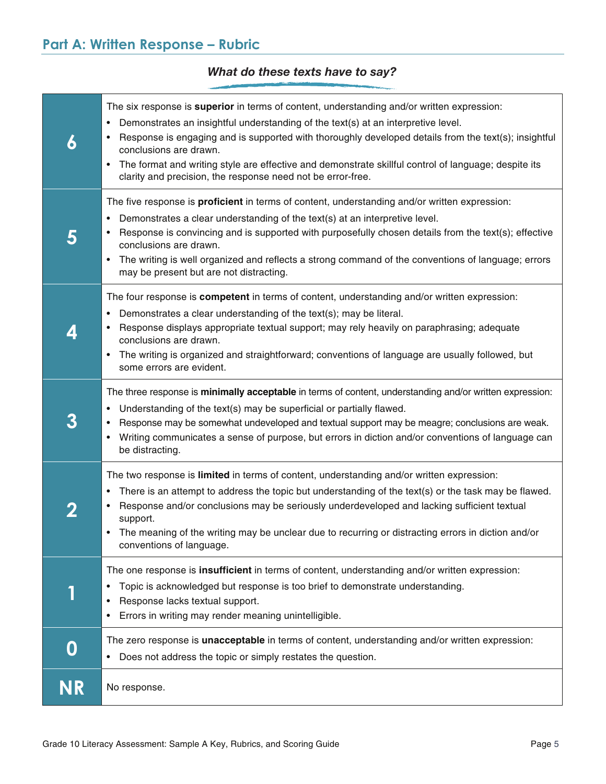## *What do these texts have to say?*

| 6            | The six response is superior in terms of content, understanding and/or written expression:<br>Demonstrates an insightful understanding of the text(s) at an interpretive level.<br>٠<br>Response is engaging and is supported with thoroughly developed details from the text(s); insightful<br>conclusions are drawn.<br>The format and writing style are effective and demonstrate skillful control of language; despite its<br>$\bullet$<br>clarity and precision, the response need not be error-free. |
|--------------|------------------------------------------------------------------------------------------------------------------------------------------------------------------------------------------------------------------------------------------------------------------------------------------------------------------------------------------------------------------------------------------------------------------------------------------------------------------------------------------------------------|
| 5            | The five response is <b>proficient</b> in terms of content, understanding and/or written expression:<br>Demonstrates a clear understanding of the text(s) at an interpretive level.<br>$\bullet$<br>Response is convincing and is supported with purposefully chosen details from the text(s); effective<br>conclusions are drawn.<br>The writing is well organized and reflects a strong command of the conventions of language; errors<br>$\bullet$<br>may be present but are not distracting.           |
| 4            | The four response is competent in terms of content, understanding and/or written expression:<br>Demonstrates a clear understanding of the text(s); may be literal.<br>٠<br>Response displays appropriate textual support; may rely heavily on paraphrasing; adequate<br>conclusions are drawn.<br>The writing is organized and straightforward; conventions of language are usually followed, but<br>٠<br>some errors are evident.                                                                         |
| 3            | The three response is minimally acceptable in terms of content, understanding and/or written expression:<br>Understanding of the text(s) may be superficial or partially flawed.<br>٠<br>Response may be somewhat undeveloped and textual support may be meagre; conclusions are weak.<br>Writing communicates a sense of purpose, but errors in diction and/or conventions of language can<br>$\bullet$<br>be distracting.                                                                                |
| $\mathbf{z}$ | The two response is limited in terms of content, understanding and/or written expression:<br>There is an attempt to address the topic but understanding of the text(s) or the task may be flawed.<br>٠<br>Response and/or conclusions may be seriously underdeveloped and lacking sufficient textual<br>support.<br>The meaning of the writing may be unclear due to recurring or distracting errors in diction and/or<br>conventions of language.                                                         |
|              | The one response is insufficient in terms of content, understanding and/or written expression:<br>Topic is acknowledged but response is too brief to demonstrate understanding.<br>٠<br>Response lacks textual support.<br>٠<br>Errors in writing may render meaning unintelligible.<br>٠                                                                                                                                                                                                                  |
| 0            | The zero response is unacceptable in terms of content, understanding and/or written expression:<br>Does not address the topic or simply restates the question.<br>$\bullet$                                                                                                                                                                                                                                                                                                                                |
| <b>NR</b>    | No response.                                                                                                                                                                                                                                                                                                                                                                                                                                                                                               |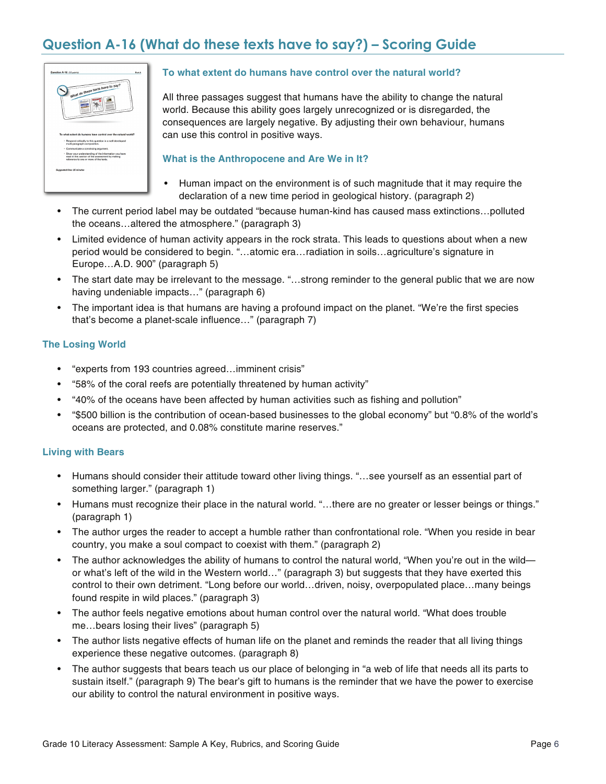# **Question A-16 (What do these texts have to say?) – Scoring Guide**



## **To what extent do humans have control over the natural world?**

All three passages suggest that humans have the ability to change the natural world. Because this ability goes largely unrecognized or is disregarded, the consequences are largely negative. By adjusting their own behaviour, humans can use this control in positive ways.

### **What is the Anthropocene and Are We in It?**

- Human impact on the environment is of such magnitude that it may require the declaration of a new time period in geological history. (paragraph 2)
- The current period label may be outdated "because human-kind has caused mass extinctions…polluted the oceans…altered the atmosphere." (paragraph 3)
- Limited evidence of human activity appears in the rock strata. This leads to questions about when a new period would be considered to begin. "…atomic era…radiation in soils…agriculture's signature in Europe…A.D. 900" (paragraph 5)
- The start date may be irrelevant to the message. "...strong reminder to the general public that we are now having undeniable impacts…" (paragraph 6)
- The important idea is that humans are having a profound impact on the planet. "We're the first species that's become a planet-scale influence…" (paragraph 7)

## **The Losing World**

- "experts from 193 countries agreed…imminent crisis"
- "58% of the coral reefs are potentially threatened by human activity"
- "40% of the oceans have been affected by human activities such as fishing and pollution"
- "\$500 billion is the contribution of ocean-based businesses to the global economy" but "0.8% of the world's oceans are protected, and 0.08% constitute marine reserves."

### **Living with Bears**

- Humans should consider their attitude toward other living things. "...see yourself as an essential part of something larger." (paragraph 1)
- Humans must recognize their place in the natural world. "...there are no greater or lesser beings or things." (paragraph 1)
- The author urges the reader to accept a humble rather than confrontational role. "When you reside in bear country, you make a soul compact to coexist with them." (paragraph 2)
- The author acknowledges the ability of humans to control the natural world, "When you're out in the wild or what's left of the wild in the Western world…" (paragraph 3) but suggests that they have exerted this control to their own detriment. "Long before our world…driven, noisy, overpopulated place…many beings found respite in wild places." (paragraph 3)
- The author feels negative emotions about human control over the natural world. "What does trouble me…bears losing their lives" (paragraph 5)
- The author lists negative effects of human life on the planet and reminds the reader that all living things experience these negative outcomes. (paragraph 8)
- The author suggests that bears teach us our place of belonging in "a web of life that needs all its parts to sustain itself." (paragraph 9) The bear's gift to humans is the reminder that we have the power to exercise our ability to control the natural environment in positive ways.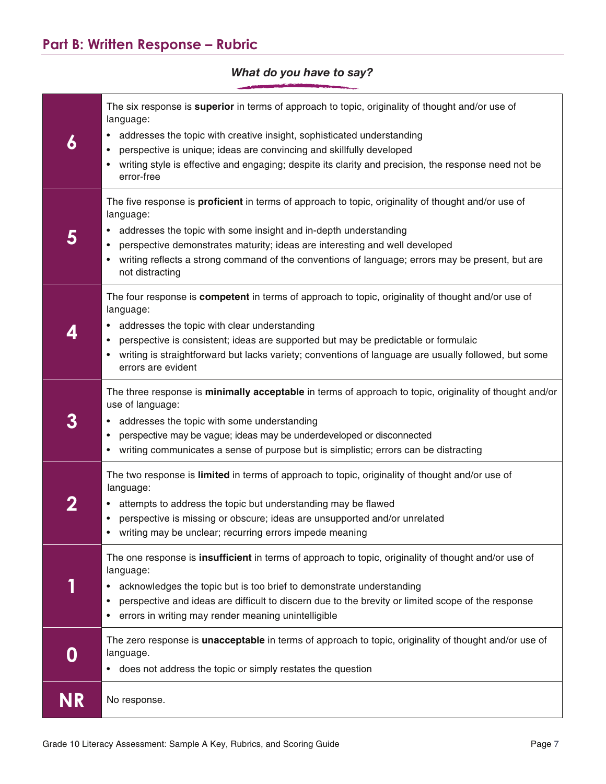## **6**  The six response is **superior** in terms of approach to topic, originality of thought and/or use of language: • addresses the topic with creative insight, sophisticated understanding • perspective is unique; ideas are convincing and skillfully developed writing style is effective and engaging; despite its clarity and precision, the response need not be error-free **5**  The five response is **proficient** in terms of approach to topic, originality of thought and/or use of language: • addresses the topic with some insight and in-depth understanding • perspective demonstrates maturity; ideas are interesting and well developed • writing reflects a strong command of the conventions of language; errors may be present, but are not distracting **4**  The four response is **competent** in terms of approach to topic, originality of thought and/or use of language: • addresses the topic with clear understanding • perspective is consistent; ideas are supported but may be predictable or formulaic • writing is straightforward but lacks variety; conventions of language are usually followed, but some errors are evident **3**  The three response is **minimally acceptable** in terms of approach to topic, originality of thought and/or use of language: • addresses the topic with some understanding • perspective may be vague; ideas may be underdeveloped or disconnected • writing communicates a sense of purpose but is simplistic; errors can be distracting **2**  The two response is **limited** in terms of approach to topic, originality of thought and/or use of language: • attempts to address the topic but understanding may be flawed • perspective is missing or obscure; ideas are unsupported and/or unrelated • writing may be unclear; recurring errors impede meaning **1**  The one response is **insufficient** in terms of approach to topic, originality of thought and/or use of language: • acknowledges the topic but is too brief to demonstrate understanding • perspective and ideas are difficult to discern due to the brevity or limited scope of the response • errors in writing may render meaning unintelligible **0**  The zero response is **unacceptable** in terms of approach to topic, originality of thought and/or use of language. • does not address the topic or simply restates the question **NR** No response.

## *What do you have to say?*